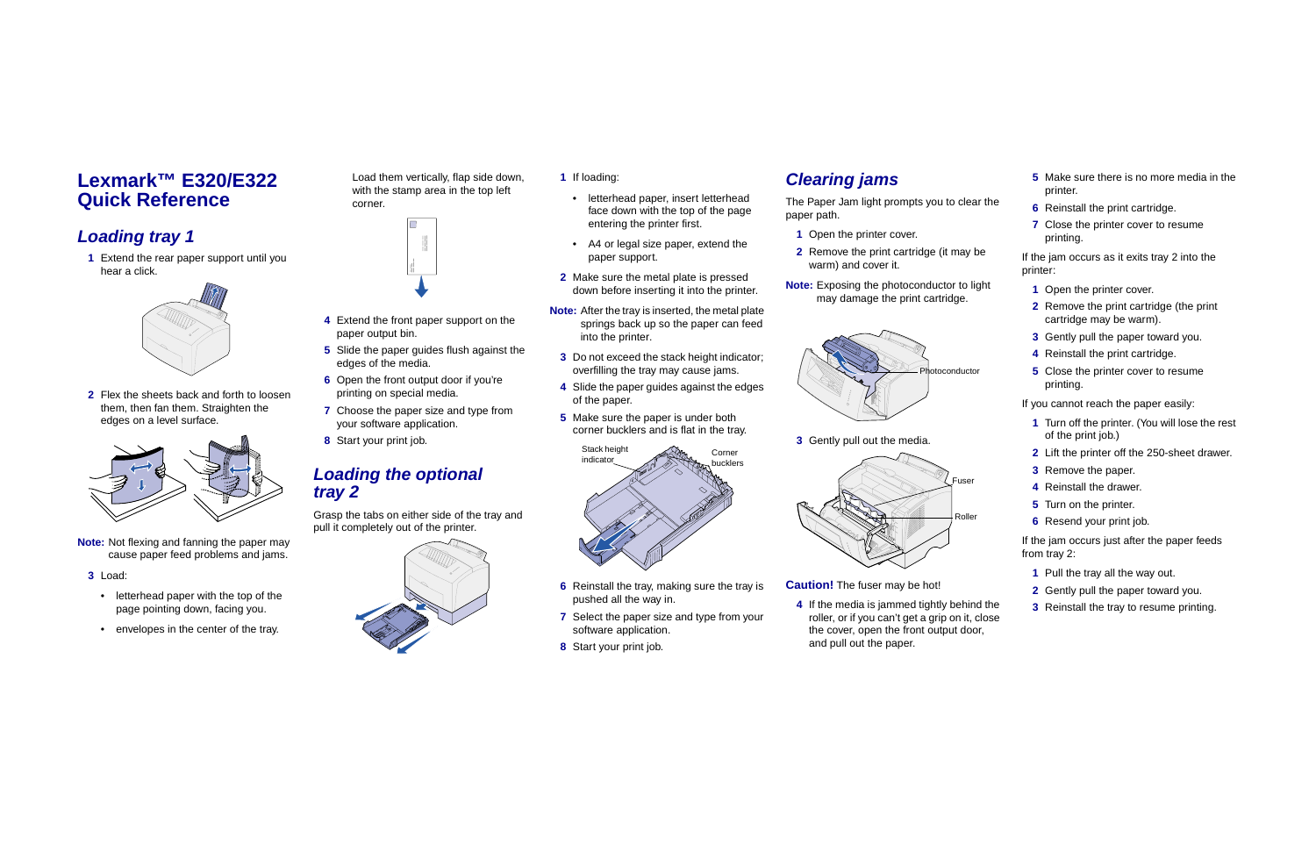# **Lexmark™ E320/E322 Quick Reference**

## **Loading tray 1**

 **1** Extend the rear paper support until you hear a click.



 **2** Flex the sheets back and forth to loosen them, then fan them. Straighten the edges on a level surface.



**Note:** Not flexing and fanning the paper may cause paper feed problems and jams.

#### **3** Load:

- letterhead paper with the top of the page pointing down, facing you.
- envelopes in the center of the tray.

Load them vertically, flap side down, with the stamp area in the top left corner.



- **4** Extend the front paper support on the paper output bin.
- **5** Slide the paper guides flush against the edges of the media.
- **6** Open the front output door if you're printing on special media.
- **7** Choose the paper size and type from your software application.
- **8** Start your print job.

### **Loading the optional tray 2**

Grasp the tabs on either side of the tray and pull it completely out of the printer.

The Paper Jam light prompts you to cle paper path.



### **1** If loading:

- letterhead paper, insert letterhead face down with the top of the page entering the printer first.
- A4 or legal size paper, extend the paper support.
- **2** Make sure the metal plate is pressed down before inserting it into the printer.
- **Note:** After the tray is inserted, the metal plate springs back up so the paper can feed into the printer.
- **3** Do not exceed the stack height indicator; overfilling the tray may cause jams.
- **4** Slide the paper guides against the edges of the paper.
- **5** Make sure the paper is under both corner bucklers and is flat in the tray.



**3** Gently pull out the media.

- **6** Reinstall the tray, making sure the tray is pushed all the way in.
- **7** Select the paper size and type from your software application.
- **8** Start your print job.

# **Clearing jams**

- **1** Open the printer cover.
- **2** Remove the print cartridge (it may be warm) and cover it.
- **Note:** Exposing the photoconductor to light may damage the print cartridge.

**Caution!** The fuser may be hot!

 **4** If the media is jammed tightly behind the roller, or if you can't get a grip on it, close the cover, open the front output door, and pull out the paper.

|                  | <b>5</b> Make sure there is no more media in the<br>printer.              |
|------------------|---------------------------------------------------------------------------|
| ear the          | 6 Reinstall the print cartridge.                                          |
|                  | 7 Close the printer cover to resume<br>printing.                          |
| , be             | If the jam occurs as it exits tray 2 into the<br>printer:                 |
| light            | 1 Open the printer cover.                                                 |
|                  | <b>2</b> Remove the print cartridge (the print<br>cartridge may be warm). |
|                  | 3 Gently pull the paper toward you.                                       |
|                  | 4 Reinstall the print cartridge.                                          |
| ctor             | 5 Close the printer cover to resume<br>printing.                          |
|                  | If you cannot reach the paper easily:                                     |
|                  | 1 Turn off the printer. (You will lose the rest<br>of the print job.)     |
|                  | 2 Lift the printer off the 250-sheet drawer.                              |
|                  | 3 Remove the paper.                                                       |
| er               | 4 Reinstall the drawer.                                                   |
|                  | 5 Turn on the printer.                                                    |
| ler              | 6 Resend your print job.                                                  |
|                  | If the jam occurs just after the paper feeds<br>from tray 2:              |
|                  | 1 Pull the tray all the way out.                                          |
|                  | <b>2</b> Gently pull the paper toward you.                                |
| ind the<br>ممطما | <b>3</b> Reinstall the tray to resume printing.                           |